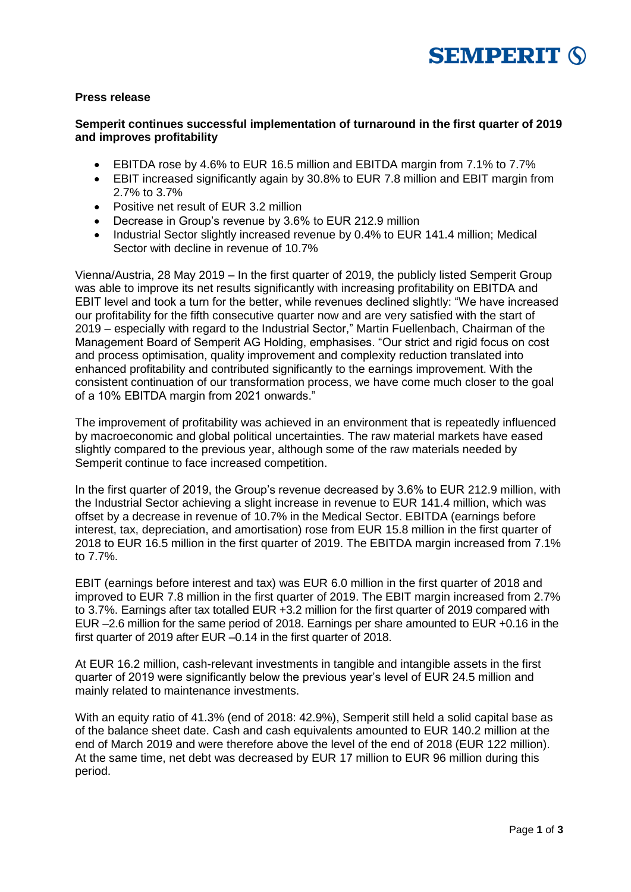

### **Press release**

### **Semperit continues successful implementation of turnaround in the first quarter of 2019 and improves profitability**

- EBITDA rose by 4.6% to EUR 16.5 million and EBITDA margin from 7.1% to 7.7%
- EBIT increased significantly again by 30.8% to EUR 7.8 million and EBIT margin from 2.7% to 3.7%
- Positive net result of EUR 3.2 million
- Decrease in Group's revenue by 3.6% to EUR 212.9 million
- Industrial Sector slightly increased revenue by 0.4% to EUR 141.4 million; Medical Sector with decline in revenue of 10.7%

Vienna/Austria, 28 May 2019 – In the first quarter of 2019, the publicly listed Semperit Group was able to improve its net results significantly with increasing profitability on EBITDA and EBIT level and took a turn for the better, while revenues declined slightly: "We have increased our profitability for the fifth consecutive quarter now and are very satisfied with the start of 2019 – especially with regard to the Industrial Sector," Martin Fuellenbach, Chairman of the Management Board of Semperit AG Holding, emphasises. "Our strict and rigid focus on cost and process optimisation, quality improvement and complexity reduction translated into enhanced profitability and contributed significantly to the earnings improvement. With the consistent continuation of our transformation process, we have come much closer to the goal of a 10% EBITDA margin from 2021 onwards."

The improvement of profitability was achieved in an environment that is repeatedly influenced by macroeconomic and global political uncertainties. The raw material markets have eased slightly compared to the previous year, although some of the raw materials needed by Semperit continue to face increased competition.

In the first quarter of 2019, the Group's revenue decreased by 3.6% to EUR 212.9 million, with the Industrial Sector achieving a slight increase in revenue to EUR 141.4 million, which was offset by a decrease in revenue of 10.7% in the Medical Sector. EBITDA (earnings before interest, tax, depreciation, and amortisation) rose from EUR 15.8 million in the first quarter of 2018 to EUR 16.5 million in the first quarter of 2019. The EBITDA margin increased from 7.1% to 7.7%.

EBIT (earnings before interest and tax) was EUR 6.0 million in the first quarter of 2018 and improved to EUR 7.8 million in the first quarter of 2019. The EBIT margin increased from 2.7% to 3.7%. Earnings after tax totalled EUR +3.2 million for the first quarter of 2019 compared with EUR –2.6 million for the same period of 2018. Earnings per share amounted to EUR +0.16 in the first quarter of 2019 after EUR –0.14 in the first quarter of 2018.

At EUR 16.2 million, cash-relevant investments in tangible and intangible assets in the first quarter of 2019 were significantly below the previous year's level of EUR 24.5 million and mainly related to maintenance investments.

With an equity ratio of 41.3% (end of 2018: 42.9%), Semperit still held a solid capital base as of the balance sheet date. Cash and cash equivalents amounted to EUR 140.2 million at the end of March 2019 and were therefore above the level of the end of 2018 (EUR 122 million). At the same time, net debt was decreased by EUR 17 million to EUR 96 million during this period.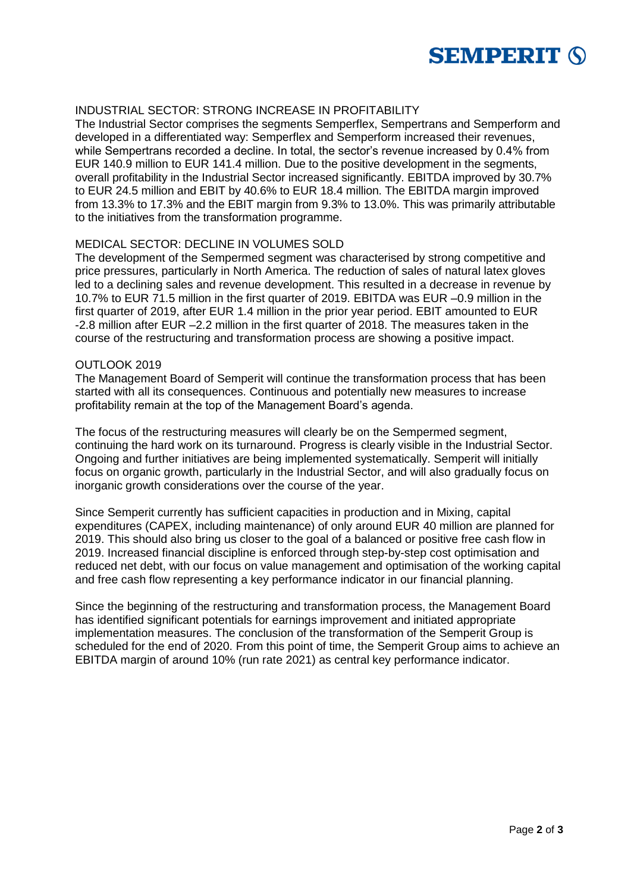

# INDUSTRIAL SECTOR: STRONG INCREASE IN PROFITABILITY

The Industrial Sector comprises the segments Semperflex, Sempertrans and Semperform and developed in a differentiated way: Semperflex and Semperform increased their revenues, while Sempertrans recorded a decline. In total, the sector's revenue increased by 0.4% from EUR 140.9 million to EUR 141.4 million. Due to the positive development in the segments, overall profitability in the Industrial Sector increased significantly. EBITDA improved by 30.7% to EUR 24.5 million and EBIT by 40.6% to EUR 18.4 million. The EBITDA margin improved from 13.3% to 17.3% and the EBIT margin from 9.3% to 13.0%. This was primarily attributable to the initiatives from the transformation programme.

### MEDICAL SECTOR: DECLINE IN VOLUMES SOLD

The development of the Sempermed segment was characterised by strong competitive and price pressures, particularly in North America. The reduction of sales of natural latex gloves led to a declining sales and revenue development. This resulted in a decrease in revenue by 10.7% to EUR 71.5 million in the first quarter of 2019. EBITDA was EUR –0.9 million in the first quarter of 2019, after EUR 1.4 million in the prior year period. EBIT amounted to EUR -2.8 million after EUR –2.2 million in the first quarter of 2018. The measures taken in the course of the restructuring and transformation process are showing a positive impact.

#### OUTLOOK 2019

The Management Board of Semperit will continue the transformation process that has been started with all its consequences. Continuous and potentially new measures to increase profitability remain at the top of the Management Board's agenda.

The focus of the restructuring measures will clearly be on the Sempermed segment, continuing the hard work on its turnaround. Progress is clearly visible in the Industrial Sector. Ongoing and further initiatives are being implemented systematically. Semperit will initially focus on organic growth, particularly in the Industrial Sector, and will also gradually focus on inorganic growth considerations over the course of the year.

Since Semperit currently has sufficient capacities in production and in Mixing, capital expenditures (CAPEX, including maintenance) of only around EUR 40 million are planned for 2019. This should also bring us closer to the goal of a balanced or positive free cash flow in 2019. Increased financial discipline is enforced through step-by-step cost optimisation and reduced net debt, with our focus on value management and optimisation of the working capital and free cash flow representing a key performance indicator in our financial planning.

Since the beginning of the restructuring and transformation process, the Management Board has identified significant potentials for earnings improvement and initiated appropriate implementation measures. The conclusion of the transformation of the Semperit Group is scheduled for the end of 2020. From this point of time, the Semperit Group aims to achieve an EBITDA margin of around 10% (run rate 2021) as central key performance indicator.